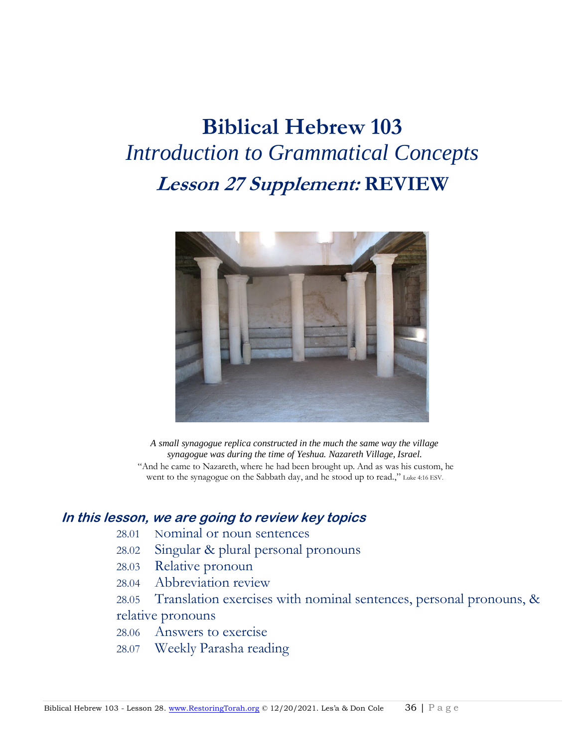# **Biblical Hebrew 103** *Introduction to Grammatical Concepts* **Lesson 27 Supplement: REVIEW**



*A small synagogue replica constructed in the much the same way the village synagogue was during the time of Yeshua. Nazareth Village, Israel.* "And he came to Nazareth, where he had been brought up. And as was his custom, he went to the synagogue on the Sabbath day, and he stood up to read.," Luke 4:16 ESV.

## **In this lesson, we are going to review key topics**

- 28.01 Nominal or noun sentences
- 28.02 Singular & plural personal pronouns
- 28.03 Relative pronoun
- 28.04 Abbreviation review
- 28.05 Translation exercises with nominal sentences, personal pronouns, & relative pronouns
- 28.06 Answers to exercise
- 28.07 Weekly Parasha reading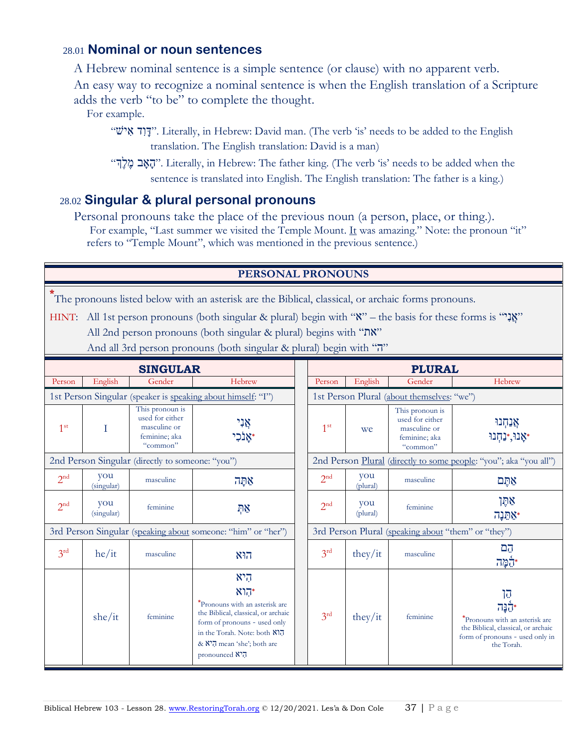## 28.01 **Nominal or noun sentences**

A Hebrew nominal sentence is a simple sentence (or clause) with no apparent verb.

An easy way to recognize a nominal sentence is when the English translation of a Scripture adds the verb "to be" to complete the thought.

For example.

"שׁי ִא דִו ָּד". Literally, in Hebrew: David man. (The verb 'is' needs to be added to the English translation. The English translation: David is a man)

"הָאָב מֶלֶך". Literally, in Hebrew: The father king. (The verb 'is' needs to be added when the sentence is translated into English. The English translation: The father is a king.)

## 28.02 **Singular & plural personal pronouns**

Personal pronouns take the place of the previous noun (a person, place, or thing.). For example, "Last summer we visited the Temple Mount. It was amazing." Note: the pronoun "it" refers to "Temple Mount", which was mentioned in the previous sentence.)

#### **PERSONAL PRONOUNS**

**\*** The pronouns listed below with an asterisk are the Biblical, classical, or archaic forms pronouns.

HINT: All 1st person pronouns (both singular & plural) begin with " $\mathbf{X}$ " – the basis for these forms is "" $\mathbf{X}$ " All 2nd person pronouns (both singular & plural) begins with "את"

|  |  | And all 3rd person pronouns (both singular & plural) begin with "7" |  |  |  |  |
|--|--|---------------------------------------------------------------------|--|--|--|--|
|--|--|---------------------------------------------------------------------|--|--|--|--|

| <b>SINGULAR</b>                                              |                                                  |                                                                                 |                                                                                                                                                                                                                 | <b>PLURAL</b>                                                     |                 |                                                                                 |                                                                                                                              |
|--------------------------------------------------------------|--------------------------------------------------|---------------------------------------------------------------------------------|-----------------------------------------------------------------------------------------------------------------------------------------------------------------------------------------------------------------|-------------------------------------------------------------------|-----------------|---------------------------------------------------------------------------------|------------------------------------------------------------------------------------------------------------------------------|
| Person                                                       | English                                          | Gender                                                                          | Hebrew                                                                                                                                                                                                          | Person                                                            | English         | Gender                                                                          | Hebrew                                                                                                                       |
|                                                              |                                                  |                                                                                 | 1st Person Singular (speaker is speaking about himself: "I")                                                                                                                                                    |                                                                   |                 | 1st Person Plural (about themselves: "we")                                      |                                                                                                                              |
| 1 <sup>st</sup>                                              |                                                  | This pronoun is<br>used for either<br>masculine or<br>feminine; aka<br>"common" | אָנִי                                                                                                                                                                                                           | 1 <sup>st</sup>                                                   | we              | This pronoun is<br>used for either<br>masculine or<br>feminine; aka<br>"common" | אֲנַחְנוּ<br>אָנוּ,*נַחְנוּ*                                                                                                 |
|                                                              | 2nd Person Singular (directly to someone: "you") |                                                                                 |                                                                                                                                                                                                                 | 2nd Person Plural (directly to some people: "you"; aka "you all") |                 |                                                                                 |                                                                                                                              |
| 2 <sup>nd</sup>                                              | you<br>(singular)                                | masculine                                                                       | אַתַּה                                                                                                                                                                                                          | 2 <sup>nd</sup>                                                   | you<br>(plural) | masculine                                                                       | אתֲם                                                                                                                         |
| 2 <sup>nd</sup>                                              | you<br>(singular)                                | feminine                                                                        | ņх                                                                                                                                                                                                              | 2 <sup>nd</sup>                                                   | you<br>(plural) | feminine                                                                        | אַתָּך<br>אַתֵּנָה <del>,</del>                                                                                              |
| 3rd Person Singular (speaking about someone: "him" or "her") |                                                  |                                                                                 | 3rd Person Plural (speaking about "them" or "they")                                                                                                                                                             |                                                                   |                 |                                                                                 |                                                                                                                              |
| 3 <sup>rd</sup>                                              | he/it                                            | masculine                                                                       | הוא                                                                                                                                                                                                             | 3 <sup>rd</sup>                                                   | they/it         | masculine                                                                       | הֲם<br><b>יהָמָה</b>                                                                                                         |
|                                                              | she/it                                           | feminine                                                                        | היא<br>$N$ הוא<br>*Pronouns with an asterisk are<br>the Biblical, classical, or archaic<br>form of pronouns - used only<br>in the Torah. Note: both N17<br>& <b>X'</b> , mean 'she'; both are<br>pronounced N'7 | 3 <sup>rd</sup>                                                   | they/it         | feminine                                                                        | הו<br>*Pronouns with an asterisk are<br>the Biblical, classical, or archaic<br>form of pronouns - used only in<br>the Torah. |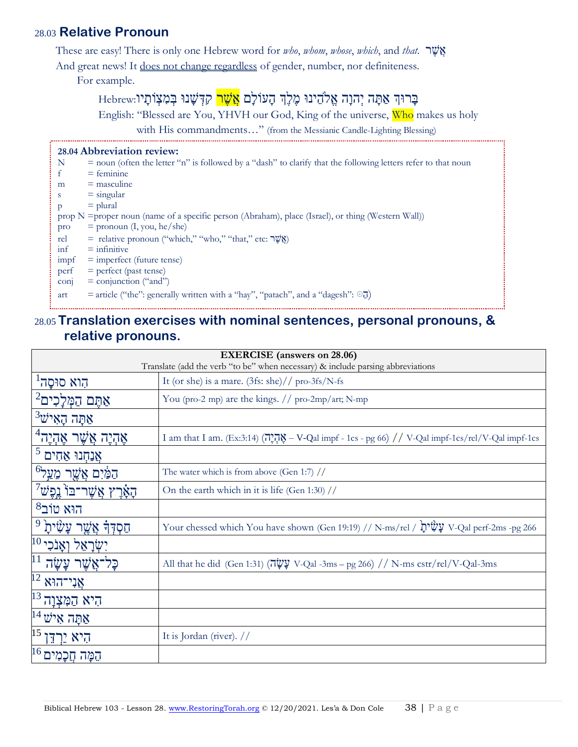# 28.03 **Relative Pronoun**

These are easy! There is only one Hebrew word for *who*, *whom*, *whose*, *which*, and *that*. אֲשֶׂך

And great news! It does not change regardless of gender, number, nor definiteness.

For example.

# בְּרוּךְ אַתָּה יְהוָה אֱלֹהֵינוּ מֶלֶךְ הָעוֹלָם <mark>אֲשֶׁר</mark> קִדְּשָׁנוּ בְּמִצְוֹתָיו:Hebrew

English: "Blessed are You, YHVH our God, King of the universe, Who makes us holy

with His commandments..." (from the Messianic Candle-Lighting Blessing)

| Ν                        | $\epsilon$ = noun (often the letter "n" is followed by a "dash" to clarify that the following letters refer to that noun |
|--------------------------|--------------------------------------------------------------------------------------------------------------------------|
|                          | $=$ feminine                                                                                                             |
| m                        | $=$ masculine                                                                                                            |
| S                        | $=$ singular                                                                                                             |
| p                        | $=$ plural                                                                                                               |
|                          | prop $N =$ proper noun (name of a specific person (Abraham), place (Israel), or thing (Western Wall))                    |
| pro                      | $=$ pronoun $(I, you, he/she)$                                                                                           |
| rel                      | = relative pronoun ("which," "who," "that," etc: אֲשֶׁר")                                                                |
| inf                      | $=$ infinitive                                                                                                           |
| impf                     | $=$ imperfect (future tense)                                                                                             |
| perf                     | $=$ perfect (past tense)                                                                                                 |
| $\overline{\text{conj}}$ | $=$ conjunction ("and")                                                                                                  |
| art                      | = article ("the": generally written with a "hay", "patach", and a "dagesh": $\odot$ J)                                   |

#### <u>28.0</u>5 Translation exercises with nominal sentences, personal pronouns, & **relative pronouns.** N = notative pronounce.

| <b>EXERCISE</b> (answers on 28.06)<br>Translate (add the verb "to be" when necessary) & include parsing abbreviations |                                                                                                                                                                                                                                                                                                                                                                     |  |  |
|-----------------------------------------------------------------------------------------------------------------------|---------------------------------------------------------------------------------------------------------------------------------------------------------------------------------------------------------------------------------------------------------------------------------------------------------------------------------------------------------------------|--|--|
| הוא סוּסַה <sup>ו</sup>                                                                                               | It (or she) is a mare. $(3fs: she)//pro-3fs/N-fs$                                                                                                                                                                                                                                                                                                                   |  |  |
| $^2$ אַתֶּם הַמְּלַכִים                                                                                               | You (pro-2 mp) are the kings. $//$ pro-2mp/art; N-mp                                                                                                                                                                                                                                                                                                                |  |  |
| $^3$ אַתָּה הַאִישׁ                                                                                                   |                                                                                                                                                                                                                                                                                                                                                                     |  |  |
| $^4$ אַהְיֶה אֲשֶׁר אֶהְיֶה                                                                                           | I am that I am. (Ex:3:14) $(\overline{A}$ , $\overline{A}$ $\overline{A}$ $\overline{B}$ $\overline{C}$ $\overline{C}$ $\overline{D}$ $\overline{C}$ $\overline{D}$ $\overline{C}$ $\overline{D}$ $\overline{D}$ $\overline{D}$ $\overline{D}$ $\overline{D}$ $\overline{D}$ $\overline{D}$ $\overline{D}$ $\overline{D}$ $\overline{D}$ $\overline{D}$ $\overline$ |  |  |
| $^5$ אַנַחְנוּ אַחִים                                                                                                 |                                                                                                                                                                                                                                                                                                                                                                     |  |  |
| <u>הַמַּ֫יִם אֲשֶׁ</u> ר מֵעֲל <sup>6</sup>                                                                           | The water which is from above (Gen 1:7) //                                                                                                                                                                                                                                                                                                                          |  |  |
| $^7$ הַאָּרֶץ אֲשֶׁר־בּוֹ נֵפֶשׁ                                                                                      | On the earth which in it is life (Gen 1:30) $//$                                                                                                                                                                                                                                                                                                                    |  |  |
| $8$ ילוב $8$ הוא                                                                                                      |                                                                                                                                                                                                                                                                                                                                                                     |  |  |
| <u> חַסְדְּ</u> ּךָ אֲשֶׁר עַשָּׂיתַ <sup> 9</sup>                                                                    | Your chessed which You have shown (Gen 19:19) // N-ms/rel / עֲשָׂיْתָ V-Qal perf-2ms -pg 266                                                                                                                                                                                                                                                                        |  |  |
| $^{10}$ יִשְׂרָאֵל וְאֵנֹכִי                                                                                          |                                                                                                                                                                                                                                                                                                                                                                     |  |  |
| 11<br>ּכַּל־אֲשֶׁר עַשַׂה                                                                                             | All that he did (Gen 1:31) (אָעָה V-Qal -3ms – pg 266) // N-ms cstr/rel/V-Qal-3ms                                                                                                                                                                                                                                                                                   |  |  |
| $\overline{1}$ אֲנִי־הוּא $\frac{12}{2}$                                                                              |                                                                                                                                                                                                                                                                                                                                                                     |  |  |
| היא המִצְוַה <sup>13</sup>                                                                                            |                                                                                                                                                                                                                                                                                                                                                                     |  |  |
| $\overline{^{14}}$ אַתָּה אִישׁ                                                                                       |                                                                                                                                                                                                                                                                                                                                                                     |  |  |
| $ $ היא ירדו                                                                                                          | It is Jordan (river). $//$                                                                                                                                                                                                                                                                                                                                          |  |  |
| הַמָּה חַכָמִים <sup>16</sup>                                                                                         |                                                                                                                                                                                                                                                                                                                                                                     |  |  |